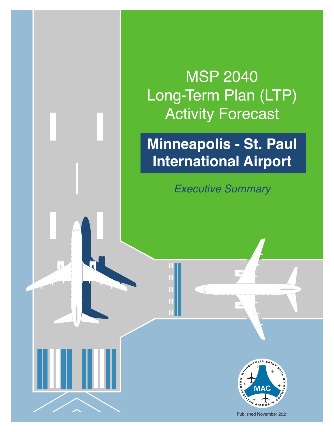MSP 2040 Long-Term Plan (LTP) Activity Forecast

# **Minneapolis - St. Paul International Airport**

*Executive Summary*



Published November 2021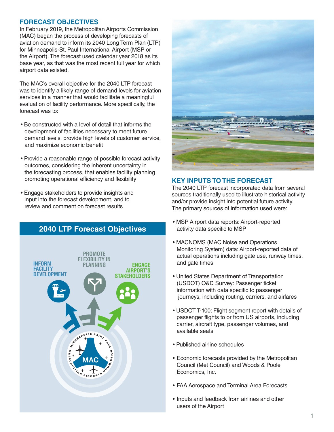#### **FORECAST OBJECTIVES**

In February 2019, the Metropolitan Airports Commission (MAC) began the process of developing forecasts of aviation demand to inform its 2040 Long Term Plan (LTP) for Minneapolis-St. Paul International Airport (MSP or the Airport). The forecast used calendar year 2018 as its base year, as that was the most recent full year for which airport data existed.

The MAC's overall objective for the 2040 LTP forecast was to identify a likely range of demand levels for aviation services in a manner that would facilitate a meaningful evaluation of facility performance. More specifically, the forecast was to:

- Be constructed with a level of detail that informs the development of facilities necessary to meet future demand levels, provide high levels of customer service, and maximize economic benefit
- Provide a reasonable range of possible forecast activity outcomes, considering the inherent uncertainty in the forecasting process, that enables facility planning promoting operational efficiency and flexibility
- Engage stakeholders to provide insights and input into the forecast development, and to review and comment on forecast results

# **2040 LTP Forecast Objectives**





#### **KEY INPUTS TO THE FORECAST**

The 2040 LTP forecast incorporated data from several sources traditionally used to illustrate historical activity and/or provide insight into potential future activity. The primary sources of information used were:

- MSP Airport data reports: Airport-reported activity data specific to MSP
- MACNOMS (MAC Noise and Operations Monitoring System) data: Airport-reported data of actual operations including gate use, runway times, and gate times
- United States Department of Transportation (USDOT) O&D Survey: Passenger ticket information with data specific to passenger journeys, including routing, carriers, and airfares
- USDOT T-100: Flight segment report with details of passenger flights to or from US airports, including carrier, aircraft type, passenger volumes, and available seats
- Published airline schedules
- Economic forecasts provided by the Metropolitan Council (Met Council) and Woods & Poole Economics, Inc.
- FAA Aerospace and Terminal Area Forecasts
- Inputs and feedback from airlines and other users of the Airport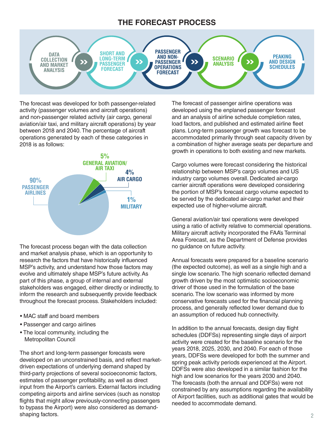# **THE FORECAST PROCESS**



The forecast was developed for both passenger-related activity (passenger volumes and aircraft operations) and non-passenger related activity (air cargo, general aviation/air taxi, and military aircraft operations) by year between 2018 and 2040. The percentage of aircraft operations generated by each of these categories in 2018 is as follows:



The forecast process began with the data collection and market analysis phase, which is an opportunity to research the factors that have historically influenced MSP's activity, and understand how those factors may evolve and ultimately shape MSP's future activity. As part of this phase, a group of internal and external stakeholders was engaged, either directly or indirectly, to inform the research and subsequently provide feedback throughout the forecast process. Stakeholders included:

- MAC staff and board members
- Passenger and cargo airlines
- The local community, including the Metropolitan Council

The short and long-term passenger forecasts were developed on an unconstrained basis, and reflect marketdriven expectations of underlying demand shaped by third-party projections of several socioeconomic factors, estimates of passenger profitability, as well as direct input from the Airport's carriers. External factors including competing airports and airline services (such as nonstop flights that might allow previously-connecting passengers to bypass the Airport) were also considered as demandshaping factors.

The forecast of passenger airline operations was developed using the enplaned passenger forecast and an analysis of airline schedule completion rates, load factors, and published and estimated airline fleet plans. Long-term passenger growth was forecast to be accommodated primarily through seat capacity driven by a combination of higher average seats per departure and growth in operations to both existing and new markets.

Cargo volumes were forecast considering the historical relationship between MSP's cargo volumes and US industry cargo volumes overall. Dedicated air-cargo carrier aircraft operations were developed considering the portion of MSP's forecast cargo volume expected to be served by the dedicated air-cargo market and their expected use of higher-volume aircraft.

General aviation/air taxi operations were developed using a ratio of activity relative to commercial operations. Military aircraft activity incorporated the FAA's Terminal Area Forecast, as the Department of Defense provides no guidance on future activity.

Annual forecasts were prepared for a baseline scenario (the expected outcome), as well as a single high and a single low scenario. The high scenario reflected demand growth driven by the most optimistic socioeconomic driver of those used in the formulation of the base scenario. The low scenario was informed by more conservative forecasts used for the financial planning process, and generally reflected lower demand due to an assumption of reduced hub connectivity.

In addition to the annual forecasts, design day flight schedules (DDFSs) representing single days of airport activity were created for the baseline scenario for the years 2018, 2025, 2030, and 2040. For each of those years, DDFSs were developed for both the summer and spring peak activity periods experienced at the Airport. DDFSs were also developed in a similar fashion for the high and low scenarios for the years 2030 and 2040. The forecasts (both the annual and DDFSs) were not constrained by any assumptions regarding the availability of Airport facilities, such as additional gates that would be needed to accommodate demand.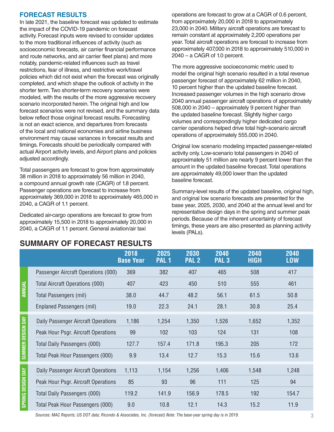#### **FORECAST RESULTS**

In late 2021, the baseline forecast was updated to estimate the impact of the COVID-19 pandemic on forecast activity. Forecast inputs were revised to consider updates to the more traditional influences of activity (such as socioeconomic forecasts, air carrier financial performance and route networks, and air carrier fleet plans) and more notably, pandemic-related influences such as travel restrictions, fear of illness, and restrictive work/travel policies which did not exist when the forecast was originally completed, and which shape the outlook of activity in the shorter term. Two shorter-term recovery scenarios were modeled, with the results of the more aggressive recovery scenario incorporated herein. The original high and low forecast scenarios were not revised, and the summary data below reflect those original forecast results. Forecasting is not an exact science, and departures from forecasts of the local and national economies and airline business environment may cause variances in forecast results and timings. Forecasts should be periodically compared with actual Airport activity levels, and Airport plans and policies adjusted accordingly.

Total passengers are forecast to grow from approximately 38 million in 2018 to approximately 56 million in 2040, a compound annual growth rate (CAGR) of 1.8 percent. Passenger operations are forecast to increase from approximately 369,000 in 2018 to approximately 465,000 in 2040, a CAGR of 1.1 percent.

Dedicated air-cargo operations are forecast to grow from approximately 15,500 in 2018 to approximately 20,000 in 2040, a CAGR of 1.1 percent. General aviation/air taxi

operations are forecast to grow at a CAGR of 0.6 percent, from approximately 20,000 in 2018 to approximately 23,000 in 2040. Military aircraft operations are forecast to remain constant at approximately 2,200 operations per year. Total aircraft operations are forecast to increase from approximately 407,000 in 2018 to approximately 510,000 in  $2040 - a$  CAGR of 1.0 percent.

The more aggressive socioeconomic metric used to model the original high scenario resulted in a total revenue passenger forecast of approximately 62 million in 2040, 10 percent higher than the updated baseline forecast. Increased passenger volumes in the high scenario drove 2040 annual passenger aircraft operations of approximately 508,000 in 2040 – approximately 9 percent higher than the updated baseline forecast. Slightly higher cargo volumes and correspondingly higher dedicated cargo carrier operations helped drive total high-scenario aircraft operations of approximately 555,000 in 2040.

Original low scenario modeling impacted passenger-related activity only. Low-scenario total passengers in 2040 of approximately 51 million are nearly 9 percent lower than the amount in the updated baseline forecast. Total operations are approximately 49,000 lower than the updated baseline forecast.

Summary-level results of the updated baseline, original high, and original low scenario forecasts are presented for the base year, 2025, 2030, and 2040 at the annual level and for representative design days in the spring and summer peak periods. Because of the inherent uncertainty of forecast timings, these years are also presented as planning activity levels (PALs).

|                   |                                     | 2018<br><b>Base Year</b> | 2025<br>PAL <sub>1</sub> | 2030<br>PAL <sub>2</sub> | 2040<br>PAL <sub>3</sub> | 2040<br><b>HIGH</b> | 2040<br><b>LOW</b> |
|-------------------|-------------------------------------|--------------------------|--------------------------|--------------------------|--------------------------|---------------------|--------------------|
| <b>ANNUAL</b>     | Passenger Aircraft Operations (000) | 369                      | 382                      | 407                      | 465                      | 508                 | 417                |
|                   | Total Aircraft Operations (000)     | 407                      | 423                      | 450                      | 510                      | 555                 | 461                |
|                   | Total Passengers (mil)              | 38.0                     | 44.7                     | 48.2                     | 56.1                     | 61.5                | 50.8               |
|                   | <b>Enplaned Passengers (mil)</b>    | 19.0                     | 22.3                     | 24.1                     | 28.1                     | 30.8                | 25.4               |
| SUMMER DESIGN DAY | Daily Passenger Aircraft Operations | 1,186                    | 1,254                    | 1,350                    | 1,526                    | 1,652               | 1,352              |
|                   | Peak Hour Psgr. Aircraft Operations | 99                       | 102                      | 103                      | 124                      | 131                 | 108                |
|                   | Total Daily Passengers (000)        | 127.7                    | 157.4                    | 171.8                    | 195.3                    | 205                 | 172                |
|                   | Total Peak Hour Passengers (000)    | 9.9                      | 13.4                     | 12.7                     | 15.3                     | 15.6                | 13.6               |
| SPRING DESIGN DAY | Daily Passenger Aircraft Operations | 1,113                    | 1,154                    | 1,256                    | 1,406                    | 1,548               | 1,248              |
|                   | Peak Hour Psgr. Aircraft Operations | 85                       | 93                       | 96                       | 111                      | 125                 | 94                 |
|                   | Total Daily Passengers (000)        | 119.2                    | 141.9                    | 156.9                    | 178.5                    | 192                 | 154.7              |
|                   | Total Peak Hour Passengers (000)    | 9.0                      | 10.8                     | 12.1                     | 14.3                     | 15.2                | 11.9               |

# **SUMMARY OF FORECAST RESULTS**

Sources: MAC Reports; US DOT data; Ricondo & Associates, Inc. (forecast) Note: The base-year spring day is in 2019.